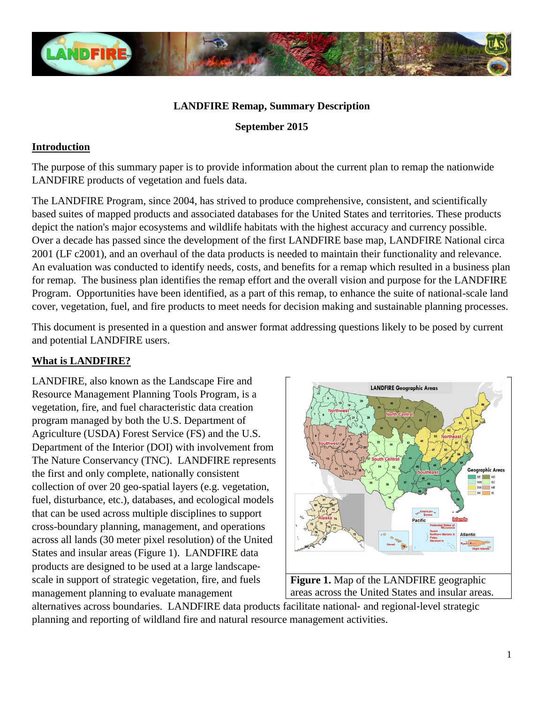

### **LANDFIRE Remap, Summary Description**

**September 2015** 

#### **Introduction**

The purpose of this summary paper is to provide information about the current plan to remap the nationwide LANDFIRE products of vegetation and fuels data.

The LANDFIRE Program, since 2004, has strived to produce comprehensive, consistent, and scientifically based suites of mapped products and associated databases for the United States and territories. These products depict the nation's major ecosystems and wildlife habitats with the highest accuracy and currency possible. Over a decade has passed since the development of the first LANDFIRE base map, LANDFIRE National circa 2001 (LF c2001), and an overhaul of the data products is needed to maintain their functionality and relevance. An evaluation was conducted to identify needs, costs, and benefits for a remap which resulted in a business plan for remap. The business plan identifies the remap effort and the overall vision and purpose for the LANDFIRE Program. Opportunities have been identified, as a part of this remap, to enhance the suite of national-scale land cover, vegetation, fuel, and fire products to meet needs for decision making and sustainable planning processes.

This document is presented in a question and answer format addressing questions likely to be posed by current and potential LANDFIRE users.

## **What is LANDFIRE?**

LANDFIRE, also known as the Landscape Fire and Resource Management Planning Tools Program, is a vegetation, fire, and fuel characteristic data creation program managed by both the U.S. Department of Agriculture (USDA) Forest Service (FS) and the U.S. Department of the Interior (DOI) with involvement from The Nature Conservancy (TNC). LANDFIRE represents the first and only complete, nationally consistent collection of over 20 geo-spatial layers (e.g. vegetation, fuel, disturbance, etc.), databases, and ecological models that can be used across multiple disciplines to support cross-boundary planning, management, and operations across all lands (30 meter pixel resolution) of the United States and insular areas (Figure 1). LANDFIRE data products are designed to be used at a large landscape‐ scale in support of strategic vegetation, fire, and fuels management planning to evaluate management



alternatives across boundaries. LANDFIRE data products facilitate national‐ and regional‐level strategic planning and reporting of wildland fire and natural resource management activities.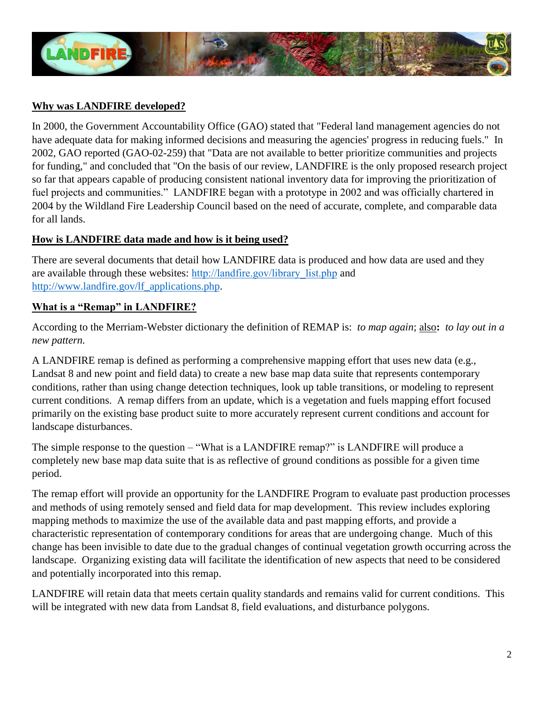

# **Why was LANDFIRE developed?**

In 2000, the Government Accountability Office (GAO) stated that "Federal land management agencies do not have adequate data for making informed decisions and measuring the agencies' progress in reducing fuels." In 2002, GAO reported (GAO-02-259) that "Data are not available to better prioritize communities and projects for funding," and concluded that "On the basis of our review, LANDFIRE is the only proposed research project so far that appears capable of producing consistent national inventory data for improving the prioritization of fuel projects and communities." LANDFIRE began with a prototype in 2002 and was officially chartered in 2004 by the Wildland Fire Leadership Council based on the need of accurate, complete, and comparable data for all lands.

# **How is LANDFIRE data made and how is it being used?**

There are several documents that detail how LANDFIRE data is produced and how data are used and they are available through these websites: [http://landfire.gov/library\\_list.php](http://landfire.gov/library_list.php) and [http://www.landfire.gov/lf\\_applications.php.](http://www.landfire.gov/lf_applications.php)

# **What is a "Remap" in LANDFIRE?**

According to the Merriam-Webster dictionary the definition of REMAP is: *to map again*; also**:** *to lay out in a new pattern.* 

A LANDFIRE remap is defined as performing a comprehensive mapping effort that uses new data (e.g., Landsat 8 and new point and field data) to create a new base map data suite that represents contemporary conditions, rather than using change detection techniques, look up table transitions, or modeling to represent current conditions. A remap differs from an update, which is a vegetation and fuels mapping effort focused primarily on the existing base product suite to more accurately represent current conditions and account for landscape disturbances.

The simple response to the question – "What is a LANDFIRE remap?" is LANDFIRE will produce a completely new base map data suite that is as reflective of ground conditions as possible for a given time period.

The remap effort will provide an opportunity for the LANDFIRE Program to evaluate past production processes and methods of using remotely sensed and field data for map development. This review includes exploring mapping methods to maximize the use of the available data and past mapping efforts, and provide a characteristic representation of contemporary conditions for areas that are undergoing change. Much of this change has been invisible to date due to the gradual changes of continual vegetation growth occurring across the landscape. Organizing existing data will facilitate the identification of new aspects that need to be considered and potentially incorporated into this remap.

LANDFIRE will retain data that meets certain quality standards and remains valid for current conditions. This will be integrated with new data from Landsat 8, field evaluations, and disturbance polygons.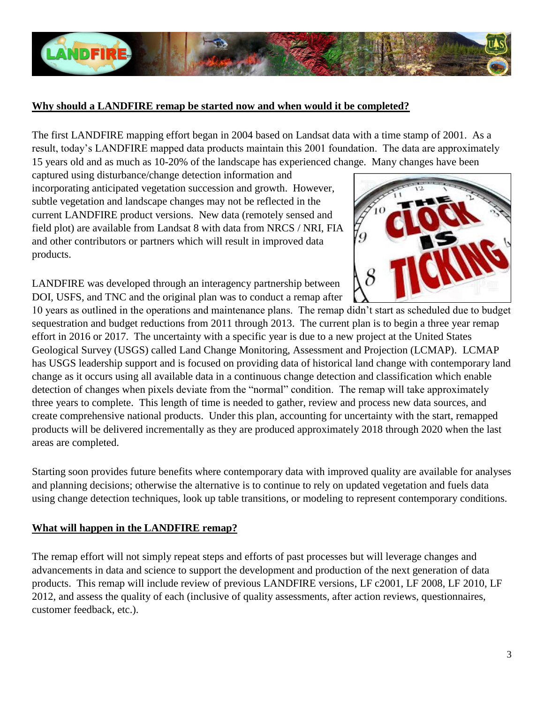

## **Why should a LANDFIRE remap be started now and when would it be completed?**

The first LANDFIRE mapping effort began in 2004 based on Landsat data with a time stamp of 2001. As a result, today's LANDFIRE mapped data products maintain this 2001 foundation. The data are approximately 15 years old and as much as 10-20% of the landscape has experienced change. Many changes have been

captured using disturbance/change detection information and incorporating anticipated vegetation succession and growth. However, subtle vegetation and landscape changes may not be reflected in the current LANDFIRE product versions. New data (remotely sensed and field plot) are available from Landsat 8 with data from NRCS / NRI, FIA and other contributors or partners which will result in improved data products.

LANDFIRE was developed through an interagency partnership between DOI, USFS, and TNC and the original plan was to conduct a remap after

10 years as outlined in the operations and maintenance plans. The remap didn't start as scheduled due to budget sequestration and budget reductions from 2011 through 2013. The current plan is to begin a three year remap effort in 2016 or 2017. The uncertainty with a specific year is due to a new project at the United States Geological Survey (USGS) called Land Change Monitoring, Assessment and Projection (LCMAP). LCMAP has USGS leadership support and is focused on providing data of historical land change with contemporary land change as it occurs using all available data in a continuous change detection and classification which enable detection of changes when pixels deviate from the "normal" condition. The remap will take approximately three years to complete. This length of time is needed to gather, review and process new data sources, and create comprehensive national products. Under this plan, accounting for uncertainty with the start, remapped products will be delivered incrementally as they are produced approximately 2018 through 2020 when the last areas are completed.

Starting soon provides future benefits where contemporary data with improved quality are available for analyses and planning decisions; otherwise the alternative is to continue to rely on updated vegetation and fuels data using change detection techniques, look up table transitions, or modeling to represent contemporary conditions.

## **What will happen in the LANDFIRE remap?**

The remap effort will not simply repeat steps and efforts of past processes but will leverage changes and advancements in data and science to support the development and production of the next generation of data products. This remap will include review of previous LANDFIRE versions, LF c2001, LF 2008, LF 2010, LF 2012, and assess the quality of each (inclusive of quality assessments, after action reviews, questionnaires, customer feedback, etc.).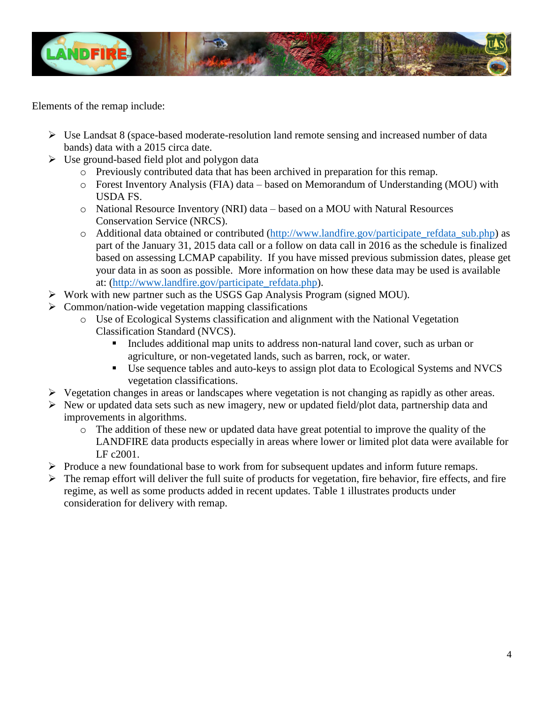

Elements of the remap include:

- $\triangleright$  Use Landsat 8 (space-based moderate-resolution land remote sensing and increased number of data bands) data with a 2015 circa date.
- $\triangleright$  Use ground-based field plot and polygon data
	- o Previously contributed data that has been archived in preparation for this remap.
	- o Forest Inventory Analysis (FIA) data based on Memorandum of Understanding (MOU) with USDA FS.
	- o National Resource Inventory (NRI) data based on a MOU with Natural Resources Conservation Service (NRCS).
	- o Additional data obtained or contributed [\(http://www.landfire.gov/participate\\_refdata\\_sub.php\)](http://www.landfire.gov/participate_refdata_sub.php) as part of the January 31, 2015 data call or a follow on data call in 2016 as the schedule is finalized based on assessing LCMAP capability. If you have missed previous submission dates, please get your data in as soon as possible. More information on how these data may be used is available at: [\(http://www.landfire.gov/participate\\_refdata.php\)](http://www.landfire.gov/participate_refdata.php).
- $\triangleright$  Work with new partner such as the USGS Gap Analysis Program (signed MOU).
- $\triangleright$  Common/nation-wide vegetation mapping classifications
	- o Use of Ecological Systems classification and alignment with the National Vegetation Classification Standard (NVCS).
		- Includes additional map units to address non-natural land cover, such as urban or agriculture, or non-vegetated lands, such as barren, rock, or water.
		- Use sequence tables and auto-keys to assign plot data to Ecological Systems and NVCS vegetation classifications.
- $\triangleright$  Vegetation changes in areas or landscapes where vegetation is not changing as rapidly as other areas.
- $\triangleright$  New or updated data sets such as new imagery, new or updated field/plot data, partnership data and improvements in algorithms.
	- o The addition of these new or updated data have great potential to improve the quality of the LANDFIRE data products especially in areas where lower or limited plot data were available for LF c2001.
- $\triangleright$  Produce a new foundational base to work from for subsequent updates and inform future remaps.
- $\triangleright$  The remap effort will deliver the full suite of products for vegetation, fire behavior, fire effects, and fire regime, as well as some products added in recent updates. Table 1 illustrates products under consideration for delivery with remap.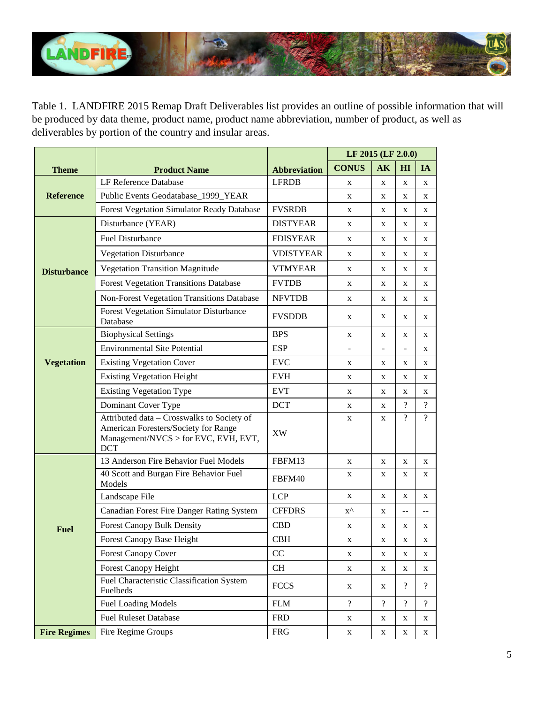

Table 1. LANDFIRE 2015 Remap Draft Deliverables list provides an outline of possible information that will be produced by data theme, product name, product name abbreviation, number of product, as well as deliverables by portion of the country and insular areas.

|                     |                                                                                                                                          |                     | LF 2015 (LF 2.0.0) |                |                          |                          |  |
|---------------------|------------------------------------------------------------------------------------------------------------------------------------------|---------------------|--------------------|----------------|--------------------------|--------------------------|--|
| <b>Theme</b>        | <b>Product Name</b>                                                                                                                      | <b>Abbreviation</b> | <b>CONUS</b>       | AK             | HI                       | <b>IA</b>                |  |
| <b>Reference</b>    | LF Reference Database                                                                                                                    | <b>LFRDB</b>        | X                  | X              | X                        | X                        |  |
|                     | Public Events Geodatabase_1999_YEAR                                                                                                      |                     | X                  | X              | X                        | X                        |  |
|                     | Forest Vegetation Simulator Ready Database                                                                                               | <b>FVSRDB</b>       | X                  | X              | X                        | X                        |  |
| <b>Disturbance</b>  | Disturbance (YEAR)                                                                                                                       | <b>DISTYEAR</b>     | X                  | X              | X                        | X                        |  |
|                     | <b>Fuel Disturbance</b>                                                                                                                  | <b>FDISYEAR</b>     | X                  | X              | X                        | X                        |  |
|                     | <b>Vegetation Disturbance</b>                                                                                                            | <b>VDISTYEAR</b>    | X                  | X              | X                        | X                        |  |
|                     | <b>Vegetation Transition Magnitude</b>                                                                                                   | <b>VTMYEAR</b>      | X                  | X              | X                        | X                        |  |
|                     | <b>Forest Vegetation Transitions Database</b>                                                                                            | <b>FVTDB</b>        | X                  | X              | X                        | X                        |  |
|                     | Non-Forest Vegetation Transitions Database                                                                                               | <b>NFVTDB</b>       | X                  | X              | X                        | X                        |  |
|                     | <b>Forest Vegetation Simulator Disturbance</b><br>Database                                                                               | <b>FVSDDB</b>       | X                  | X              | X                        | X                        |  |
| <b>Vegetation</b>   | <b>Biophysical Settings</b>                                                                                                              | <b>BPS</b>          | X                  | X              | X                        | X                        |  |
|                     | <b>Environmental Site Potential</b>                                                                                                      | <b>ESP</b>          |                    |                |                          | X                        |  |
|                     | <b>Existing Vegetation Cover</b>                                                                                                         | <b>EVC</b>          | X                  | X              | X                        | X                        |  |
|                     | <b>Existing Vegetation Height</b>                                                                                                        | <b>EVH</b>          | X                  | X              | X                        | X                        |  |
|                     | <b>Existing Vegetation Type</b>                                                                                                          | <b>EVT</b>          | X                  | X              | X                        | X                        |  |
|                     | Dominant Cover Type                                                                                                                      | <b>DCT</b>          | X                  | X              | $\overline{\mathcal{L}}$ | $\overline{?}$           |  |
|                     | Attributed data - Crosswalks to Society of<br>American Foresters/Society for Range<br>Management/NVCS > for EVC, EVH, EVT,<br><b>DCT</b> | <b>XW</b>           | X                  | X              | $\overline{\mathcal{L}}$ | $\gamma$                 |  |
| <b>Fuel</b>         | 13 Anderson Fire Behavior Fuel Models                                                                                                    | FBFM13              | X                  | X              | X                        | X                        |  |
|                     | 40 Scott and Burgan Fire Behavior Fuel<br>Models                                                                                         | FBFM40              | X                  | X              | X                        | X                        |  |
|                     | Landscape File                                                                                                                           | <b>LCP</b>          | X                  | X              | X                        | X                        |  |
|                     | Canadian Forest Fire Danger Rating System                                                                                                | <b>CFFDRS</b>       | $X^{\wedge}$       | X              | --                       | --                       |  |
|                     | <b>Forest Canopy Bulk Density</b>                                                                                                        | <b>CBD</b>          | X                  | X              | X                        | X                        |  |
|                     | Forest Canopy Base Height                                                                                                                | CBH                 | X                  | X              | X                        | X                        |  |
|                     | <b>Forest Canopy Cover</b>                                                                                                               | CC                  | X                  | X              | X                        | X                        |  |
|                     | <b>Forest Canopy Height</b>                                                                                                              | CH                  | X                  | X              | X                        | X                        |  |
|                     | Fuel Characteristic Classification System<br>Fuelbeds                                                                                    | <b>FCCS</b>         | X                  | X              | $\overline{\mathcal{L}}$ | $\overline{\mathcal{L}}$ |  |
|                     | <b>Fuel Loading Models</b>                                                                                                               | ${\bf FLM}$         | $\overline{?}$     | $\overline{?}$ | $\overline{?}$           | $\overline{?}$           |  |
|                     | <b>Fuel Ruleset Database</b>                                                                                                             | <b>FRD</b>          | X                  | X              | X                        | X                        |  |
| <b>Fire Regimes</b> | Fire Regime Groups                                                                                                                       | <b>FRG</b>          | X                  | X              | X                        | X                        |  |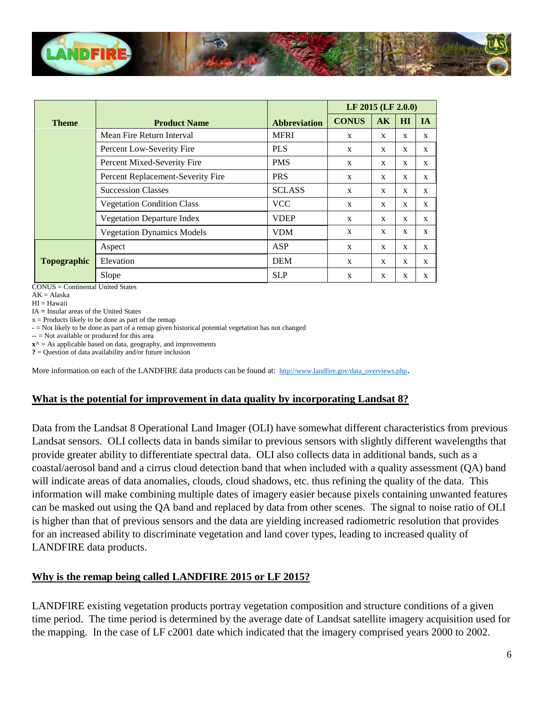

|                    |                                   |                     | LF 2015 (LF 2.0.0) |              |    |              |  |
|--------------------|-----------------------------------|---------------------|--------------------|--------------|----|--------------|--|
| <b>Theme</b>       | <b>Product Name</b>               | <b>Abbreviation</b> | <b>CONUS</b>       | AK           | HI | <b>IA</b>    |  |
|                    | Mean Fire Return Interval         | <b>MFRI</b>         | X                  | $\mathbf{x}$ | X  | $\mathbf{x}$ |  |
|                    | Percent Low-Severity Fire         | <b>PLS</b>          | X                  | X            | X  | X            |  |
|                    | Percent Mixed-Severity Fire       | <b>PMS</b>          | X                  | $\mathbf{x}$ | X  | $\mathbf{x}$ |  |
|                    | Percent Replacement-Severity Fire | <b>PRS</b>          | X                  | X            | X  | $\mathbf{x}$ |  |
|                    | <b>Succession Classes</b>         | <b>SCLASS</b>       | X                  | X            | X  | $\mathbf{x}$ |  |
|                    | <b>Vegetation Condition Class</b> | <b>VCC</b>          | X                  | $\mathbf{x}$ | X  | X            |  |
|                    | <b>Vegetation Departure Index</b> | <b>VDEP</b>         | X                  | $\mathbf{x}$ | X  | $\mathbf{x}$ |  |
|                    | <b>Vegetation Dynamics Models</b> | <b>VDM</b>          | X                  | $\mathbf{x}$ | X  | X            |  |
| <b>Topographic</b> | Aspect                            | ASP                 | $\mathbf{x}$       | X            | X  | $\mathbf{x}$ |  |
|                    | Elevation                         | <b>DEM</b>          | $\mathbf{x}$       | $\mathbf{x}$ | X  | $\mathbf{x}$ |  |
|                    | Slope                             | <b>SLP</b>          | X                  | X            | X  | X            |  |

CONUS = Continental United States

 $AK = Alaska$ 

 $HI = Hawaii$ 

IA **=** Insular areas of the United States

 $x =$  Products likely to be done as part of the remap

**-** = Not likely to be done as part of a remap given historical potential vegetation has not changed

 $-$  = Not available or produced for this area

 $x^{\wedge}$  = As applicable based on data, geography, and improvements

**?** = Question of data availability and/or future inclusion

More information on each of the LANDFIRE data products can be found at: [http://www.landfire.gov/data\\_overviews.php](http://www.landfire.gov/data_overviews.php).

#### **What is the potential for improvement in data quality by incorporating Landsat 8?**

Data from the Landsat 8 Operational Land Imager (OLI) have somewhat different characteristics from previous Landsat sensors. OLI collects data in bands similar to previous sensors with slightly different wavelengths that provide greater ability to differentiate spectral data. OLI also collects data in additional bands, such as a coastal/aerosol band and a cirrus cloud detection band that when included with a quality assessment (QA) band will indicate areas of data anomalies, clouds, cloud shadows, etc. thus refining the quality of the data. This information will make combining multiple dates of imagery easier because pixels containing unwanted features can be masked out using the QA band and replaced by data from other scenes. The signal to noise ratio of OLI is higher than that of previous sensors and the data are yielding increased radiometric resolution that provides for an increased ability to discriminate vegetation and land cover types, leading to increased quality of LANDFIRE data products.

## **Why is the remap being called LANDFIRE 2015 or LF 2015?**

LANDFIRE existing vegetation products portray vegetation composition and structure conditions of a given time period. The time period is determined by the average date of Landsat satellite imagery acquisition used for the mapping. In the case of LF c2001 date which indicated that the imagery comprised years 2000 to 2002.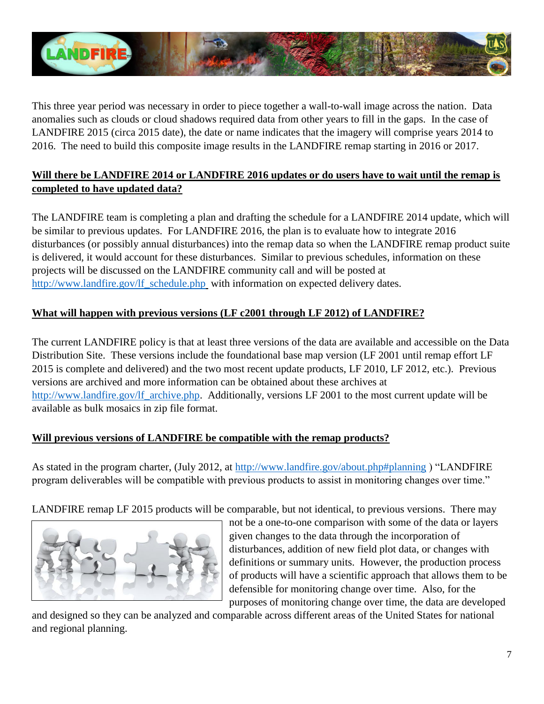

This three year period was necessary in order to piece together a wall-to-wall image across the nation. Data anomalies such as clouds or cloud shadows required data from other years to fill in the gaps. In the case of LANDFIRE 2015 (circa 2015 date), the date or name indicates that the imagery will comprise years 2014 to 2016. The need to build this composite image results in the LANDFIRE remap starting in 2016 or 2017.

# **Will there be LANDFIRE 2014 or LANDFIRE 2016 updates or do users have to wait until the remap is completed to have updated data?**

The LANDFIRE team is completing a plan and drafting the schedule for a LANDFIRE 2014 update, which will be similar to previous updates. For LANDFIRE 2016, the plan is to evaluate how to integrate 2016 disturbances (or possibly annual disturbances) into the remap data so when the LANDFIRE remap product suite is delivered, it would account for these disturbances. Similar to previous schedules, information on these projects will be discussed on the LANDFIRE community call and will be posted at [http://www.landfire.gov/lf\\_schedule.php](http://www.landfire.gov/lf_schedule.php)\_with information on expected delivery dates.

# **What will happen with previous versions (LF c2001 through LF 2012) of LANDFIRE?**

The current LANDFIRE policy is that at least three versions of the data are available and accessible on the Data Distribution Site. These versions include the foundational base map version (LF 2001 until remap effort LF 2015 is complete and delivered) and the two most recent update products, LF 2010, LF 2012, etc.). Previous versions are archived and more information can be obtained about these archives at [http://www.landfire.gov/lf\\_archive.php.](http://www.landfire.gov/lf_archive.php) Additionally, versions LF 2001 to the most current update will be available as bulk mosaics in zip file format.

# **Will previous versions of LANDFIRE be compatible with the remap products?**

As stated in the program charter, (July 2012, at<http://www.landfire.gov/about.php#planning> ) "LANDFIRE program deliverables will be compatible with previous products to assist in monitoring changes over time."

LANDFIRE remap LF 2015 products will be comparable, but not identical, to previous versions. There may



not be a one-to-one comparison with some of the data or layers given changes to the data through the incorporation of disturbances, addition of new field plot data, or changes with definitions or summary units. However, the production process of products will have a scientific approach that allows them to be defensible for monitoring change over time. Also, for the purposes of monitoring change over time, the data are developed

and designed so they can be analyzed and comparable across different areas of the United States for national and regional planning.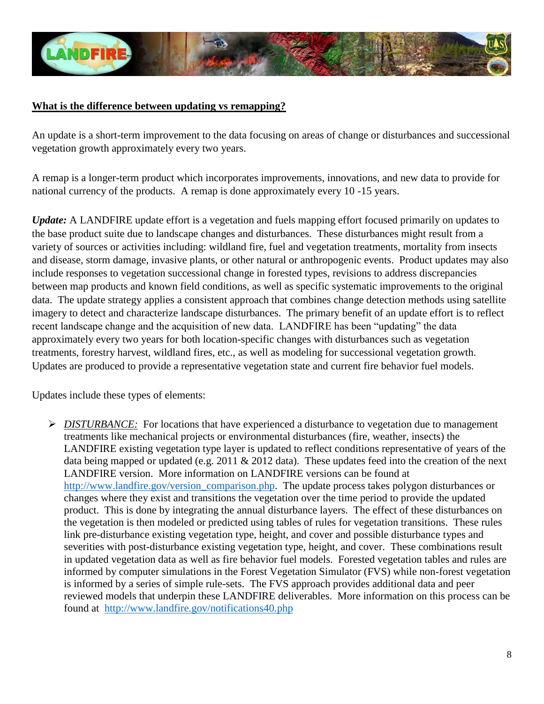

### **What is the difference between updating vs remapping?**

An update is a short-term improvement to the data focusing on areas of change or disturbances and successional vegetation growth approximately every two years.

A remap is a longer-term product which incorporates improvements, innovations, and new data to provide for national currency of the products. A remap is done approximately every 10 -15 years.

*Update:* A LANDFIRE update effort is a vegetation and fuels mapping effort focused primarily on updates to the base product suite due to landscape changes and disturbances. These disturbances might result from a variety of sources or activities including: wildland fire, fuel and vegetation treatments, mortality from insects and disease, storm damage, invasive plants, or other natural or anthropogenic events. Product updates may also include responses to vegetation successional change in forested types, revisions to address discrepancies between map products and known field conditions, as well as specific systematic improvements to the original data. The update strategy applies a consistent approach that combines change detection methods using satellite imagery to detect and characterize landscape disturbances. The primary benefit of an update effort is to reflect recent landscape change and the acquisition of new data. LANDFIRE has been "updating" the data approximately every two years for both location-specific changes with disturbances such as vegetation treatments, forestry harvest, wildland fires, etc., as well as modeling for successional vegetation growth. Updates are produced to provide a representative vegetation state and current fire behavior fuel models.

Updates include these types of elements:

*► DISTURBANCE:* For locations that have experienced a disturbance to vegetation due to management treatments like mechanical projects or environmental disturbances (fire, weather, insects) the LANDFIRE existing vegetation type layer is updated to reflect conditions representative of years of the data being mapped or updated (e.g. 2011 & 2012 data). These updates feed into the creation of the next LANDFIRE version. More information on LANDFIRE versions can be found at [http://www.landfire.gov/version\\_comparison.php.](http://www.landfire.gov/version_comparison.php) The update process takes polygon disturbances or changes where they exist and transitions the vegetation over the time period to provide the updated product. This is done by integrating the annual disturbance layers. The effect of these disturbances on the vegetation is then modeled or predicted using tables of rules for vegetation transitions. These rules link pre-disturbance existing vegetation type, height, and cover and possible disturbance types and severities with post-disturbance existing vegetation type, height, and cover. These combinations result in updated vegetation data as well as fire behavior fuel models. Forested vegetation tables and rules are informed by computer simulations in the Forest Vegetation Simulator (FVS) while non-forest vegetation is informed by a series of simple rule-sets. The FVS approach provides additional data and peer reviewed models that underpin these LANDFIRE deliverables. More information on this process can be found at <http://www.landfire.gov/notifications40.php>